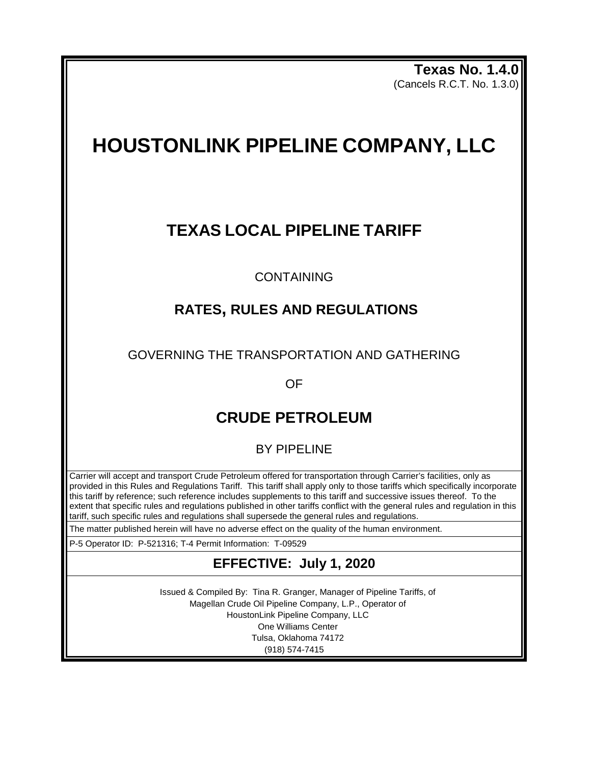**Texas No. 1.4.0** (Cancels R.C.T. No. 1.3.0)

# **HOUSTONLINK PIPELINE COMPANY, LLC**

## **TEXAS LOCAL PIPELINE TARIFF**

CONTAINING

## **RATES, RULES AND REGULATIONS**

GOVERNING THE TRANSPORTATION AND GATHERING

OF

## **CRUDE PETROLEUM**

BY PIPELINE

Carrier will accept and transport Crude Petroleum offered for transportation through Carrier's facilities, only as provided in this Rules and Regulations Tariff. This tariff shall apply only to those tariffs which specifically incorporate this tariff by reference; such reference includes supplements to this tariff and successive issues thereof. To the extent that specific rules and regulations published in other tariffs conflict with the general rules and regulation in this tariff, such specific rules and regulations shall supersede the general rules and regulations.

The matter published herein will have no adverse effect on the quality of the human environment.

P-5 Operator ID: P-521316; T-4 Permit Information: T-09529

## **EFFECTIVE: July 1, 2020**

Issued & Compiled By: Tina R. Granger, Manager of Pipeline Tariffs, of Magellan Crude Oil Pipeline Company, L.P., Operator of HoustonLink Pipeline Company, LLC One Williams Center Tulsa, Oklahoma 74172 (918) 574-7415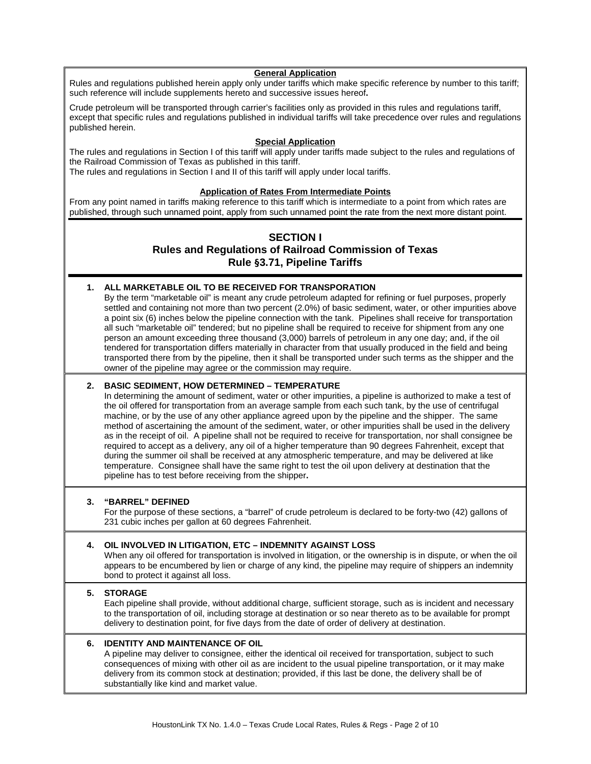#### **General Application**

Rules and regulations published herein apply only under tariffs which make specific reference by number to this tariff; such reference will include supplements hereto and successive issues hereof**.**

Crude petroleum will be transported through carrier's facilities only as provided in this rules and regulations tariff, except that specific rules and regulations published in individual tariffs will take precedence over rules and regulations published herein.

#### **Special Application**

The rules and regulations in Section I of this tariff will apply under tariffs made subject to the rules and regulations of the Railroad Commission of Texas as published in this tariff.

The rules and regulations in Section I and II of this tariff will apply under local tariffs.

## **Application of Rates From Intermediate Points**

From any point named in tariffs making reference to this tariff which is intermediate to a point from which rates are published, through such unnamed point, apply from such unnamed point the rate from the next more distant point.

## **SECTION I Rules and Regulations of Railroad Commission of Texas Rule §3.71, Pipeline Tariffs**

## **1. ALL MARKETABLE OIL TO BE RECEIVED FOR TRANSPORATION**

By the term "marketable oil" is meant any crude petroleum adapted for refining or fuel purposes, properly settled and containing not more than two percent (2.0%) of basic sediment, water, or other impurities above a point six (6) inches below the pipeline connection with the tank. Pipelines shall receive for transportation all such "marketable oil" tendered; but no pipeline shall be required to receive for shipment from any one person an amount exceeding three thousand (3,000) barrels of petroleum in any one day; and, if the oil tendered for transportation differs materially in character from that usually produced in the field and being transported there from by the pipeline, then it shall be transported under such terms as the shipper and the owner of the pipeline may agree or the commission may require.

## **2. BASIC SEDIMENT, HOW DETERMINED – TEMPERATURE**

In determining the amount of sediment, water or other impurities, a pipeline is authorized to make a test of the oil offered for transportation from an average sample from each such tank, by the use of centrifugal machine, or by the use of any other appliance agreed upon by the pipeline and the shipper. The same method of ascertaining the amount of the sediment, water, or other impurities shall be used in the delivery as in the receipt of oil. A pipeline shall not be required to receive for transportation, nor shall consignee be required to accept as a delivery, any oil of a higher temperature than 90 degrees Fahrenheit, except that during the summer oil shall be received at any atmospheric temperature, and may be delivered at like temperature. Consignee shall have the same right to test the oil upon delivery at destination that the pipeline has to test before receiving from the shipper**.**

## **3. "BARREL" DEFINED**

For the purpose of these sections, a "barrel" of crude petroleum is declared to be forty-two (42) gallons of 231 cubic inches per gallon at 60 degrees Fahrenheit.

## **4. OIL INVOLVED IN LITIGATION, ETC – INDEMNITY AGAINST LOSS**

When any oil offered for transportation is involved in litigation, or the ownership is in dispute, or when the oil appears to be encumbered by lien or charge of any kind, the pipeline may require of shippers an indemnity bond to protect it against all loss.

## **5. STORAGE**

Each pipeline shall provide, without additional charge, sufficient storage, such as is incident and necessary to the transportation of oil, including storage at destination or so near thereto as to be available for prompt delivery to destination point, for five days from the date of order of delivery at destination.

## **6. IDENTITY AND MAINTENANCE OF OIL**

A pipeline may deliver to consignee, either the identical oil received for transportation, subject to such consequences of mixing with other oil as are incident to the usual pipeline transportation, or it may make delivery from its common stock at destination; provided, if this last be done, the delivery shall be of substantially like kind and market value.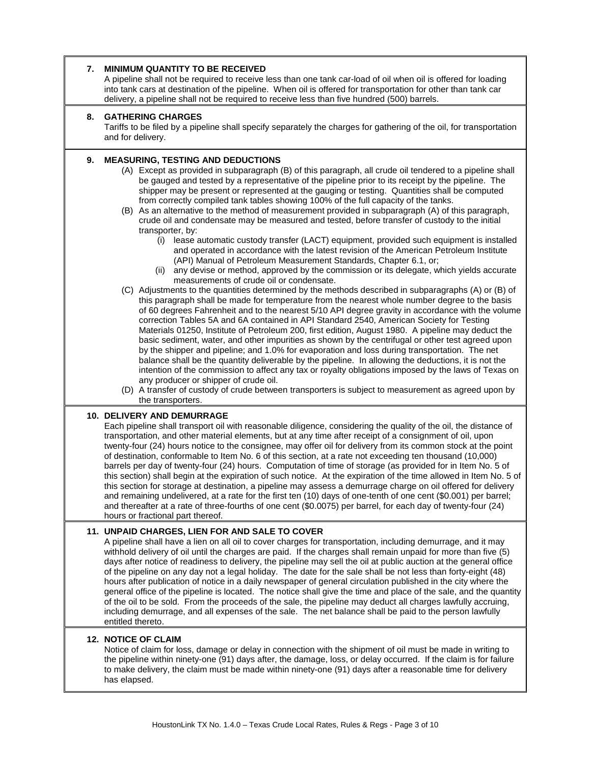| 7. | <b>MINIMUM QUANTITY TO BE RECEIVED</b><br>A pipeline shall not be required to receive less than one tank car-load of oil when oil is offered for loading<br>into tank cars at destination of the pipeline. When oil is offered for transportation for other than tank car<br>delivery, a pipeline shall not be required to receive less than five hundred (500) barrels.                                                                                                                                                                                                                                                                                                                                                                                                                                                                                                                                                                                                                                                                                                                                                                                                                                                                                                                                                                                                                                                                                                                                                                                                                                                                                                                                                                                                                                                                                                                                                                                                                                                                                                                                                                                                                                 |
|----|----------------------------------------------------------------------------------------------------------------------------------------------------------------------------------------------------------------------------------------------------------------------------------------------------------------------------------------------------------------------------------------------------------------------------------------------------------------------------------------------------------------------------------------------------------------------------------------------------------------------------------------------------------------------------------------------------------------------------------------------------------------------------------------------------------------------------------------------------------------------------------------------------------------------------------------------------------------------------------------------------------------------------------------------------------------------------------------------------------------------------------------------------------------------------------------------------------------------------------------------------------------------------------------------------------------------------------------------------------------------------------------------------------------------------------------------------------------------------------------------------------------------------------------------------------------------------------------------------------------------------------------------------------------------------------------------------------------------------------------------------------------------------------------------------------------------------------------------------------------------------------------------------------------------------------------------------------------------------------------------------------------------------------------------------------------------------------------------------------------------------------------------------------------------------------------------------------|
| 8. | <b>GATHERING CHARGES</b><br>Tariffs to be filed by a pipeline shall specify separately the charges for gathering of the oil, for transportation<br>and for delivery.                                                                                                                                                                                                                                                                                                                                                                                                                                                                                                                                                                                                                                                                                                                                                                                                                                                                                                                                                                                                                                                                                                                                                                                                                                                                                                                                                                                                                                                                                                                                                                                                                                                                                                                                                                                                                                                                                                                                                                                                                                     |
| 9. | <b>MEASURING, TESTING AND DEDUCTIONS</b><br>(A) Except as provided in subparagraph (B) of this paragraph, all crude oil tendered to a pipeline shall<br>be gauged and tested by a representative of the pipeline prior to its receipt by the pipeline. The<br>shipper may be present or represented at the gauging or testing. Quantities shall be computed<br>from correctly compiled tank tables showing 100% of the full capacity of the tanks.<br>(B) As an alternative to the method of measurement provided in subparagraph (A) of this paragraph,<br>crude oil and condensate may be measured and tested, before transfer of custody to the initial<br>transporter, by:<br>lease automatic custody transfer (LACT) equipment, provided such equipment is installed<br>(i)<br>and operated in accordance with the latest revision of the American Petroleum Institute<br>(API) Manual of Petroleum Measurement Standards, Chapter 6.1, or;<br>(ii) any devise or method, approved by the commission or its delegate, which yields accurate<br>measurements of crude oil or condensate.<br>(C) Adjustments to the quantities determined by the methods described in subparagraphs (A) or (B) of<br>this paragraph shall be made for temperature from the nearest whole number degree to the basis<br>of 60 degrees Fahrenheit and to the nearest 5/10 API degree gravity in accordance with the volume<br>correction Tables 5A and 6A contained in API Standard 2540, American Society for Testing<br>Materials 01250, Institute of Petroleum 200, first edition, August 1980. A pipeline may deduct the<br>basic sediment, water, and other impurities as shown by the centrifugal or other test agreed upon<br>by the shipper and pipeline; and 1.0% for evaporation and loss during transportation. The net<br>balance shall be the quantity deliverable by the pipeline. In allowing the deductions, it is not the<br>intention of the commission to affect any tax or royalty obligations imposed by the laws of Texas on<br>any producer or shipper of crude oil.<br>(D) A transfer of custody of crude between transporters is subject to measurement as agreed upon by<br>the transporters. |
|    | <b>10. DELIVERY AND DEMURRAGE</b><br>Each pipeline shall transport oil with reasonable diligence, considering the quality of the oil, the distance of<br>transportation, and other material elements, but at any time after receipt of a consignment of oil, upon<br>twenty-four (24) hours notice to the consignee, may offer oil for delivery from its common stock at the point<br>of destination, conformable to Item No. 6 of this section, at a rate not exceeding ten thousand (10,000)<br>barrels per day of twenty-four (24) hours. Computation of time of storage (as provided for in Item No. 5 of<br>this section) shall begin at the expiration of such notice. At the expiration of the time allowed in Item No. 5 of<br>this section for storage at destination, a pipeline may assess a demurrage charge on oil offered for delivery<br>and remaining undelivered, at a rate for the first ten (10) days of one-tenth of one cent (\$0.001) per barrel;<br>and thereafter at a rate of three-fourths of one cent (\$0.0075) per barrel, for each day of twenty-four (24)<br>hours or fractional part thereof.                                                                                                                                                                                                                                                                                                                                                                                                                                                                                                                                                                                                                                                                                                                                                                                                                                                                                                                                                                                                                                                                            |
|    | 11. UNPAID CHARGES, LIEN FOR AND SALE TO COVER<br>A pipeline shall have a lien on all oil to cover charges for transportation, including demurrage, and it may<br>withhold delivery of oil until the charges are paid. If the charges shall remain unpaid for more than five (5)<br>days after notice of readiness to delivery, the pipeline may sell the oil at public auction at the general office<br>of the pipeline on any day not a legal holiday. The date for the sale shall be not less than forty-eight (48)<br>hours after publication of notice in a daily newspaper of general circulation published in the city where the<br>general office of the pipeline is located. The notice shall give the time and place of the sale, and the quantity<br>of the oil to be sold. From the proceeds of the sale, the pipeline may deduct all charges lawfully accruing,<br>including demurrage, and all expenses of the sale. The net balance shall be paid to the person lawfully<br>entitled thereto.                                                                                                                                                                                                                                                                                                                                                                                                                                                                                                                                                                                                                                                                                                                                                                                                                                                                                                                                                                                                                                                                                                                                                                                             |
|    | <b>12. NOTICE OF CLAIM</b><br>Notice of claim for loss, damage or delay in connection with the shipment of oil must be made in writing to<br>the pipeline within ninety-one (91) days after, the damage, loss, or delay occurred. If the claim is for failure<br>to make delivery, the claim must be made within ninety-one (91) days after a reasonable time for delivery<br>has elapsed.                                                                                                                                                                                                                                                                                                                                                                                                                                                                                                                                                                                                                                                                                                                                                                                                                                                                                                                                                                                                                                                                                                                                                                                                                                                                                                                                                                                                                                                                                                                                                                                                                                                                                                                                                                                                               |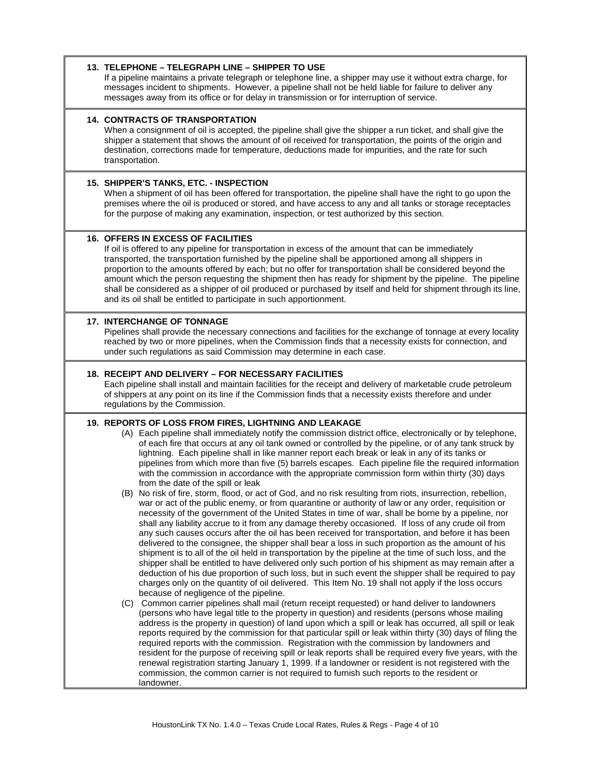## **13. TELEPHONE – TELEGRAPH LINE – SHIPPER TO USE**

If a pipeline maintains a private telegraph or telephone line, a shipper may use it without extra charge, for messages incident to shipments. However, a pipeline shall not be held liable for failure to deliver any messages away from its office or for delay in transmission or for interruption of service.

#### **14. CONTRACTS OF TRANSPORTATION**

When a consignment of oil is accepted, the pipeline shall give the shipper a run ticket, and shall give the shipper a statement that shows the amount of oil received for transportation, the points of the origin and destination, corrections made for temperature, deductions made for impurities, and the rate for such transportation.

#### **15. SHIPPER'S TANKS, ETC. - INSPECTION**

When a shipment of oil has been offered for transportation, the pipeline shall have the right to go upon the premises where the oil is produced or stored, and have access to any and all tanks or storage receptacles for the purpose of making any examination, inspection, or test authorized by this section.

## **16. OFFERS IN EXCESS OF FACILITIES**

If oil is offered to any pipeline for transportation in excess of the amount that can be immediately transported, the transportation furnished by the pipeline shall be apportioned among all shippers in proportion to the amounts offered by each; but no offer for transportation shall be considered beyond the amount which the person requesting the shipment then has ready for shipment by the pipeline. The pipeline shall be considered as a shipper of oil produced or purchased by itself and held for shipment through its line, and its oil shall be entitled to participate in such apportionment.

#### **17. INTERCHANGE OF TONNAGE**

Pipelines shall provide the necessary connections and facilities for the exchange of tonnage at every locality reached by two or more pipelines, when the Commission finds that a necessity exists for connection, and under such regulations as said Commission may determine in each case.

#### **18. RECEIPT AND DELIVERY – FOR NECESSARY FACILITIES**

Each pipeline shall install and maintain facilities for the receipt and delivery of marketable crude petroleum of shippers at any point on its line if the Commission finds that a necessity exists therefore and under regulations by the Commission.

#### **19. REPORTS OF LOSS FROM FIRES, LIGHTNING AND LEAKAGE**

- (A) Each pipeline shall immediately notify the commission district office, electronically or by telephone, of each fire that occurs at any oil tank owned or controlled by the pipeline, or of any tank struck by lightning. Each pipeline shall in like manner report each break or leak in any of its tanks or pipelines from which more than five (5) barrels escapes. Each pipeline file the required information with the commission in accordance with the appropriate commission form within thirty (30) days from the date of the spill or leak
- (B) No risk of fire, storm, flood, or act of God, and no risk resulting from riots, insurrection, rebellion, war or act of the public enemy, or from quarantine or authority of law or any order, requisition or necessity of the government of the United States in time of war, shall be borne by a pipeline, nor shall any liability accrue to it from any damage thereby occasioned. If loss of any crude oil from any such causes occurs after the oil has been received for transportation, and before it has been delivered to the consignee, the shipper shall bear a loss in such proportion as the amount of his shipment is to all of the oil held in transportation by the pipeline at the time of such loss, and the shipper shall be entitled to have delivered only such portion of his shipment as may remain after a deduction of his due proportion of such loss, but in such event the shipper shall be required to pay charges only on the quantity of oil delivered. This Item No. 19 shall not apply if the loss occurs because of negligence of the pipeline.
- (C) Common carrier pipelines shall mail (return receipt requested) or hand deliver to landowners (persons who have legal title to the property in question) and residents (persons whose mailing address is the property in question) of land upon which a spill or leak has occurred, all spill or leak reports required by the commission for that particular spill or leak within thirty (30) days of filing the required reports with the commission. Registration with the commission by landowners and resident for the purpose of receiving spill or leak reports shall be required every five years, with the renewal registration starting January 1, 1999. If a landowner or resident is not registered with the commission, the common carrier is not required to furnish such reports to the resident or landowner.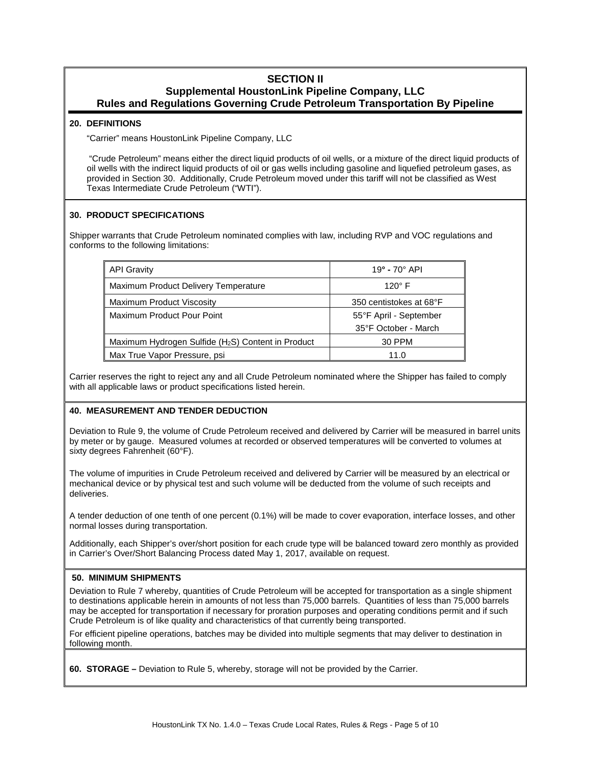## **SECTION II Supplemental HoustonLink Pipeline Company, LLC Rules and Regulations Governing Crude Petroleum Transportation By Pipeline**

#### **20. DEFINITIONS**

"Carrier" means HoustonLink Pipeline Company, LLC

"Crude Petroleum" means either the direct liquid products of oil wells, or a mixture of the direct liquid products of oil wells with the indirect liquid products of oil or gas wells including gasoline and liquefied petroleum gases, as provided in Section 30. Additionally, Crude Petroleum moved under this tariff will not be classified as West Texas Intermediate Crude Petroleum ("WTI").

## **30. PRODUCT SPECIFICATIONS**

Shipper warrants that Crude Petroleum nominated complies with law, including RVP and VOC regulations and conforms to the following limitations:

| <b>API Gravity</b>                                             | $19^{\circ}$ - 70 $^{\circ}$ API |  |
|----------------------------------------------------------------|----------------------------------|--|
| Maximum Product Delivery Temperature                           | $120^\circ$ F                    |  |
| Maximum Product Viscosity                                      | 350 centistokes at 68°F          |  |
| Maximum Product Pour Point                                     | 55°F April - September           |  |
|                                                                | 35°F October - March             |  |
| Maximum Hydrogen Sulfide (H <sub>2</sub> S) Content in Product | 30 PPM                           |  |
| Max True Vapor Pressure, psi                                   | 11.0                             |  |

Carrier reserves the right to reject any and all Crude Petroleum nominated where the Shipper has failed to comply with all applicable laws or product specifications listed herein.

## **40. MEASUREMENT AND TENDER DEDUCTION**

Deviation to Rule 9, the volume of Crude Petroleum received and delivered by Carrier will be measured in barrel units by meter or by gauge. Measured volumes at recorded or observed temperatures will be converted to volumes at sixty degrees Fahrenheit (60°F).

The volume of impurities in Crude Petroleum received and delivered by Carrier will be measured by an electrical or mechanical device or by physical test and such volume will be deducted from the volume of such receipts and deliveries.

A tender deduction of one tenth of one percent (0.1%) will be made to cover evaporation, interface losses, and other normal losses during transportation.

Additionally, each Shipper's over/short position for each crude type will be balanced toward zero monthly as provided in Carrier's Over/Short Balancing Process dated May 1, 2017, available on request.

## **50. MINIMUM SHIPMENTS**

Deviation to Rule 7 whereby, quantities of Crude Petroleum will be accepted for transportation as a single shipment to destinations applicable herein in amounts of not less than 75,000 barrels. Quantities of less than 75,000 barrels may be accepted for transportation if necessary for proration purposes and operating conditions permit and if such Crude Petroleum is of like quality and characteristics of that currently being transported.

For efficient pipeline operations, batches may be divided into multiple segments that may deliver to destination in following month.

**60. STORAGE –** Deviation to Rule 5, whereby, storage will not be provided by the Carrier.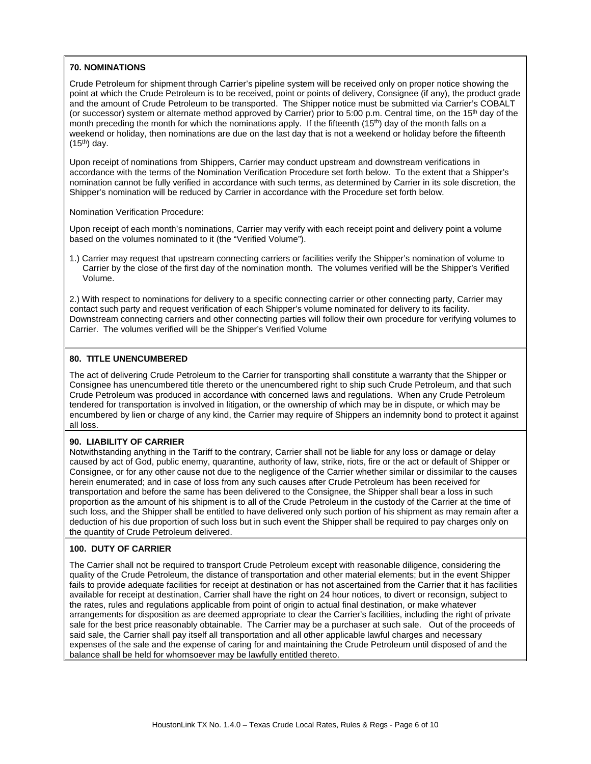## **70. NOMINATIONS**

Crude Petroleum for shipment through Carrier's pipeline system will be received only on proper notice showing the point at which the Crude Petroleum is to be received, point or points of delivery, Consignee (if any), the product grade and the amount of Crude Petroleum to be transported. The Shipper notice must be submitted via Carrier's COBALT (or successor) system or alternate method approved by Carrier) prior to 5:00 p.m. Central time, on the 15<sup>th</sup> day of the month preceding the month for which the nominations apply. If the fifteenth  $(15<sup>th</sup>)$  day of the month falls on a weekend or holiday, then nominations are due on the last day that is not a weekend or holiday before the fifteenth  $(15<sup>th</sup>)$  day.

Upon receipt of nominations from Shippers, Carrier may conduct upstream and downstream verifications in accordance with the terms of the Nomination Verification Procedure set forth below. To the extent that a Shipper's nomination cannot be fully verified in accordance with such terms, as determined by Carrier in its sole discretion, the Shipper's nomination will be reduced by Carrier in accordance with the Procedure set forth below.

## Nomination Verification Procedure:

Upon receipt of each month's nominations, Carrier may verify with each receipt point and delivery point a volume based on the volumes nominated to it (the "Verified Volume").

1.) Carrier may request that upstream connecting carriers or facilities verify the Shipper's nomination of volume to Carrier by the close of the first day of the nomination month. The volumes verified will be the Shipper's Verified Volume.

2.) With respect to nominations for delivery to a specific connecting carrier or other connecting party, Carrier may contact such party and request verification of each Shipper's volume nominated for delivery to its facility. Downstream connecting carriers and other connecting parties will follow their own procedure for verifying volumes to Carrier. The volumes verified will be the Shipper's Verified Volume

## **80. TITLE UNENCUMBERED**

The act of delivering Crude Petroleum to the Carrier for transporting shall constitute a warranty that the Shipper or Consignee has unencumbered title thereto or the unencumbered right to ship such Crude Petroleum, and that such Crude Petroleum was produced in accordance with concerned laws and regulations. When any Crude Petroleum tendered for transportation is involved in litigation, or the ownership of which may be in dispute, or which may be encumbered by lien or charge of any kind, the Carrier may require of Shippers an indemnity bond to protect it against all loss.

## **90. LIABILITY OF CARRIER**

Notwithstanding anything in the Tariff to the contrary, Carrier shall not be liable for any loss or damage or delay caused by act of God, public enemy, quarantine, authority of law, strike, riots, fire or the act or default of Shipper or Consignee, or for any other cause not due to the negligence of the Carrier whether similar or dissimilar to the causes herein enumerated; and in case of loss from any such causes after Crude Petroleum has been received for transportation and before the same has been delivered to the Consignee, the Shipper shall bear a loss in such proportion as the amount of his shipment is to all of the Crude Petroleum in the custody of the Carrier at the time of such loss, and the Shipper shall be entitled to have delivered only such portion of his shipment as may remain after a deduction of his due proportion of such loss but in such event the Shipper shall be required to pay charges only on the quantity of Crude Petroleum delivered.

#### **100. DUTY OF CARRIER**

The Carrier shall not be required to transport Crude Petroleum except with reasonable diligence, considering the quality of the Crude Petroleum, the distance of transportation and other material elements; but in the event Shipper fails to provide adequate facilities for receipt at destination or has not ascertained from the Carrier that it has facilities available for receipt at destination, Carrier shall have the right on 24 hour notices, to divert or reconsign, subject to the rates, rules and regulations applicable from point of origin to actual final destination, or make whatever arrangements for disposition as are deemed appropriate to clear the Carrier's facilities, including the right of private sale for the best price reasonably obtainable. The Carrier may be a purchaser at such sale. Out of the proceeds of said sale, the Carrier shall pay itself all transportation and all other applicable lawful charges and necessary expenses of the sale and the expense of caring for and maintaining the Crude Petroleum until disposed of and the balance shall be held for whomsoever may be lawfully entitled thereto.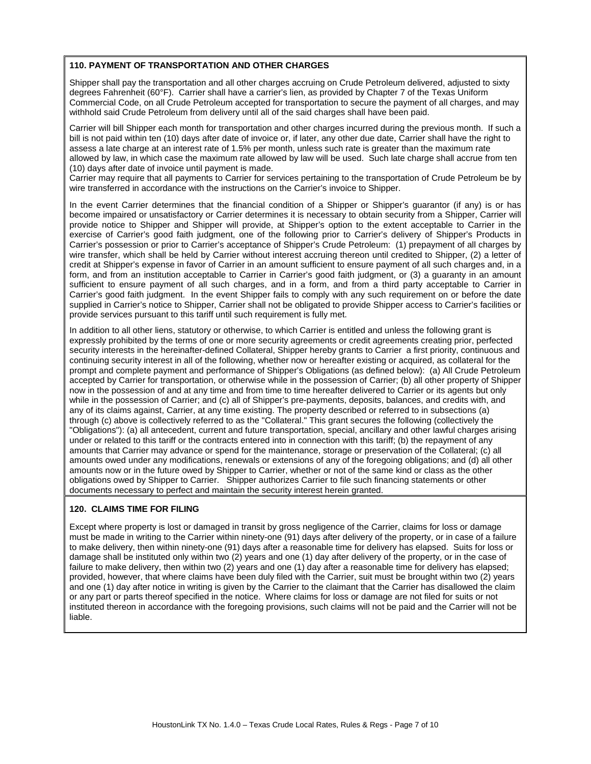## **110. PAYMENT OF TRANSPORTATION AND OTHER CHARGES**

Shipper shall pay the transportation and all other charges accruing on Crude Petroleum delivered, adjusted to sixty degrees Fahrenheit (60°F). Carrier shall have a carrier's lien, as provided by Chapter 7 of the Texas Uniform Commercial Code, on all Crude Petroleum accepted for transportation to secure the payment of all charges, and may withhold said Crude Petroleum from delivery until all of the said charges shall have been paid.

Carrier will bill Shipper each month for transportation and other charges incurred during the previous month. If such a bill is not paid within ten (10) days after date of invoice or, if later, any other due date, Carrier shall have the right to assess a late charge at an interest rate of 1.5% per month, unless such rate is greater than the maximum rate allowed by law, in which case the maximum rate allowed by law will be used. Such late charge shall accrue from ten (10) days after date of invoice until payment is made.

Carrier may require that all payments to Carrier for services pertaining to the transportation of Crude Petroleum be by wire transferred in accordance with the instructions on the Carrier's invoice to Shipper.

In the event Carrier determines that the financial condition of a Shipper or Shipper's quarantor (if any) is or has become impaired or unsatisfactory or Carrier determines it is necessary to obtain security from a Shipper, Carrier will provide notice to Shipper and Shipper will provide, at Shipper's option to the extent acceptable to Carrier in the exercise of Carrier's good faith judgment, one of the following prior to Carrier's delivery of Shipper's Products in Carrier's possession or prior to Carrier's acceptance of Shipper's Crude Petroleum: (1) prepayment of all charges by wire transfer, which shall be held by Carrier without interest accruing thereon until credited to Shipper, (2) a letter of credit at Shipper's expense in favor of Carrier in an amount sufficient to ensure payment of all such charges and, in a form, and from an institution acceptable to Carrier in Carrier's good faith judgment, or (3) a guaranty in an amount sufficient to ensure payment of all such charges, and in a form, and from a third party acceptable to Carrier in Carrier's good faith judgment. In the event Shipper fails to comply with any such requirement on or before the date supplied in Carrier's notice to Shipper, Carrier shall not be obligated to provide Shipper access to Carrier's facilities or provide services pursuant to this tariff until such requirement is fully met.

In addition to all other liens, statutory or otherwise, to which Carrier is entitled and unless the following grant is expressly prohibited by the terms of one or more security agreements or credit agreements creating prior, perfected security interests in the hereinafter-defined Collateral, Shipper hereby grants to Carrier a first priority, continuous and continuing security interest in all of the following, whether now or hereafter existing or acquired, as collateral for the prompt and complete payment and performance of Shipper's Obligations (as defined below): (a) All Crude Petroleum accepted by Carrier for transportation, or otherwise while in the possession of Carrier; (b) all other property of Shipper now in the possession of and at any time and from time to time hereafter delivered to Carrier or its agents but only while in the possession of Carrier; and (c) all of Shipper's pre-payments, deposits, balances, and credits with, and any of its claims against, Carrier, at any time existing. The property described or referred to in subsections (a) through (c) above is collectively referred to as the "Collateral." This grant secures the following (collectively the "Obligations"): (a) all antecedent, current and future transportation, special, ancillary and other lawful charges arising under or related to this tariff or the contracts entered into in connection with this tariff; (b) the repayment of any amounts that Carrier may advance or spend for the maintenance, storage or preservation of the Collateral; (c) all amounts owed under any modifications, renewals or extensions of any of the foregoing obligations; and (d) all other amounts now or in the future owed by Shipper to Carrier, whether or not of the same kind or class as the other obligations owed by Shipper to Carrier. Shipper authorizes Carrier to file such financing statements or other documents necessary to perfect and maintain the security interest herein granted.

## **120. CLAIMS TIME FOR FILING**

Except where property is lost or damaged in transit by gross negligence of the Carrier, claims for loss or damage must be made in writing to the Carrier within ninety-one (91) days after delivery of the property, or in case of a failure to make delivery, then within ninety-one (91) days after a reasonable time for delivery has elapsed. Suits for loss or damage shall be instituted only within two (2) years and one (1) day after delivery of the property, or in the case of failure to make delivery, then within two (2) years and one (1) day after a reasonable time for delivery has elapsed; provided, however, that where claims have been duly filed with the Carrier, suit must be brought within two (2) years and one (1) day after notice in writing is given by the Carrier to the claimant that the Carrier has disallowed the claim or any part or parts thereof specified in the notice. Where claims for loss or damage are not filed for suits or not instituted thereon in accordance with the foregoing provisions, such claims will not be paid and the Carrier will not be liable.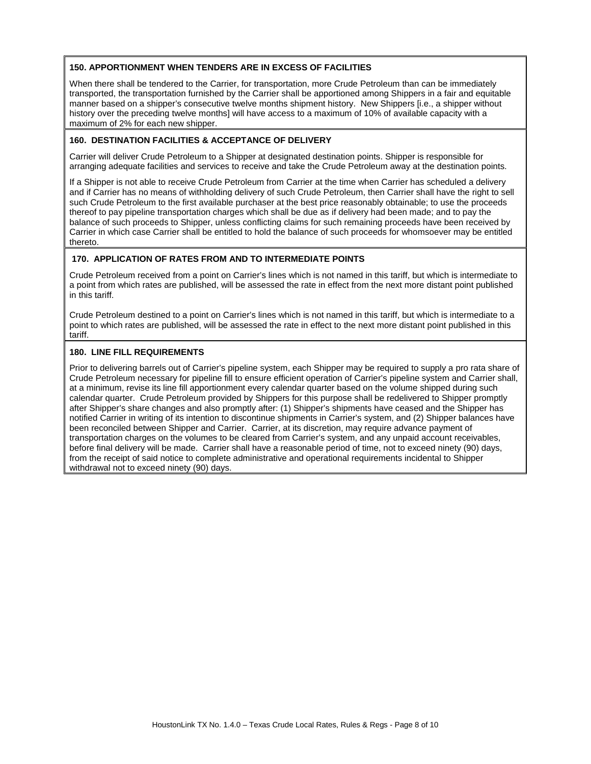## **150. APPORTIONMENT WHEN TENDERS ARE IN EXCESS OF FACILITIES**

When there shall be tendered to the Carrier, for transportation, more Crude Petroleum than can be immediately transported, the transportation furnished by the Carrier shall be apportioned among Shippers in a fair and equitable manner based on a shipper's consecutive twelve months shipment history. New Shippers [i.e., a shipper without history over the preceding twelve months] will have access to a maximum of 10% of available capacity with a maximum of 2% for each new shipper.

## **160. DESTINATION FACILITIES & ACCEPTANCE OF DELIVERY**

Carrier will deliver Crude Petroleum to a Shipper at designated destination points. Shipper is responsible for arranging adequate facilities and services to receive and take the Crude Petroleum away at the destination points.

If a Shipper is not able to receive Crude Petroleum from Carrier at the time when Carrier has scheduled a delivery and if Carrier has no means of withholding delivery of such Crude Petroleum, then Carrier shall have the right to sell such Crude Petroleum to the first available purchaser at the best price reasonably obtainable; to use the proceeds thereof to pay pipeline transportation charges which shall be due as if delivery had been made; and to pay the balance of such proceeds to Shipper, unless conflicting claims for such remaining proceeds have been received by Carrier in which case Carrier shall be entitled to hold the balance of such proceeds for whomsoever may be entitled thereto.

## **170. APPLICATION OF RATES FROM AND TO INTERMEDIATE POINTS**

Crude Petroleum received from a point on Carrier's lines which is not named in this tariff, but which is intermediate to a point from which rates are published, will be assessed the rate in effect from the next more distant point published in this tariff.

Crude Petroleum destined to a point on Carrier's lines which is not named in this tariff, but which is intermediate to a point to which rates are published, will be assessed the rate in effect to the next more distant point published in this tariff.

## **180. LINE FILL REQUIREMENTS**

Prior to delivering barrels out of Carrier's pipeline system, each Shipper may be required to supply a pro rata share of Crude Petroleum necessary for pipeline fill to ensure efficient operation of Carrier's pipeline system and Carrier shall, at a minimum, revise its line fill apportionment every calendar quarter based on the volume shipped during such calendar quarter. Crude Petroleum provided by Shippers for this purpose shall be redelivered to Shipper promptly after Shipper's share changes and also promptly after: (1) Shipper's shipments have ceased and the Shipper has notified Carrier in writing of its intention to discontinue shipments in Carrier's system, and (2) Shipper balances have been reconciled between Shipper and Carrier. Carrier, at its discretion, may require advance payment of transportation charges on the volumes to be cleared from Carrier's system, and any unpaid account receivables, before final delivery will be made. Carrier shall have a reasonable period of time, not to exceed ninety (90) days, from the receipt of said notice to complete administrative and operational requirements incidental to Shipper withdrawal not to exceed ninety (90) days.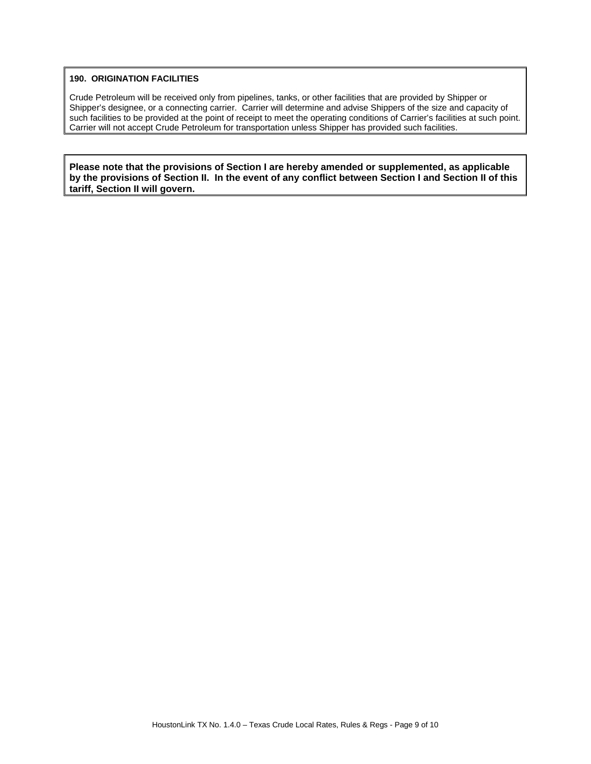## **190. ORIGINATION FACILITIES**

Crude Petroleum will be received only from pipelines, tanks, or other facilities that are provided by Shipper or Shipper's designee, or a connecting carrier. Carrier will determine and advise Shippers of the size and capacity of such facilities to be provided at the point of receipt to meet the operating conditions of Carrier's facilities at such point. Carrier will not accept Crude Petroleum for transportation unless Shipper has provided such facilities.

**Please note that the provisions of Section I are hereby amended or supplemented, as applicable by the provisions of Section II. In the event of any conflict between Section I and Section II of this tariff, Section II will govern.**